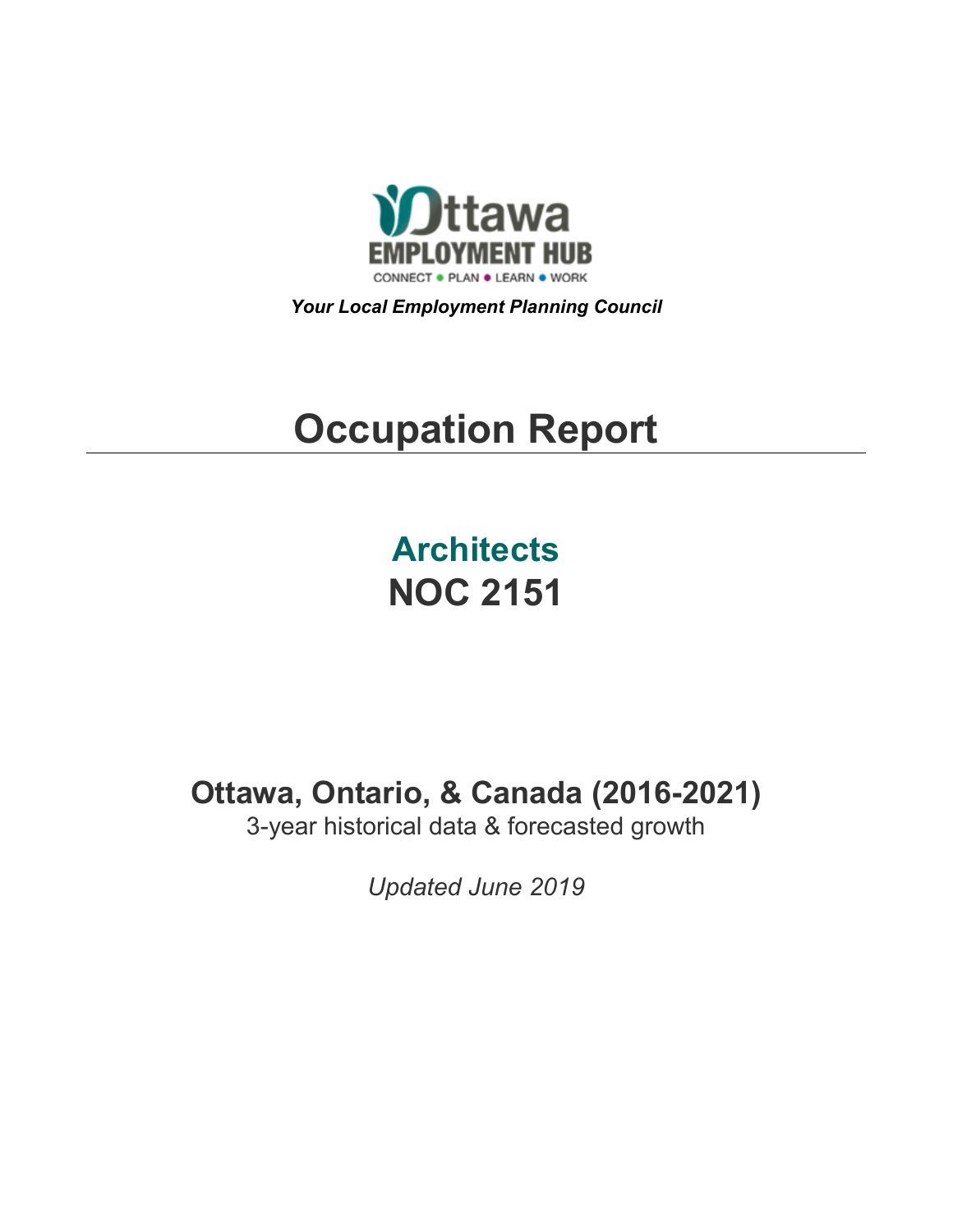

*Your Local Employment Planning Council*

# **Occupation Report**

**Architects NOC 2151**

**Ottawa, Ontario, & Canada (2016-2021)**

3-year historical data & forecasted growth

*Updated June 2019*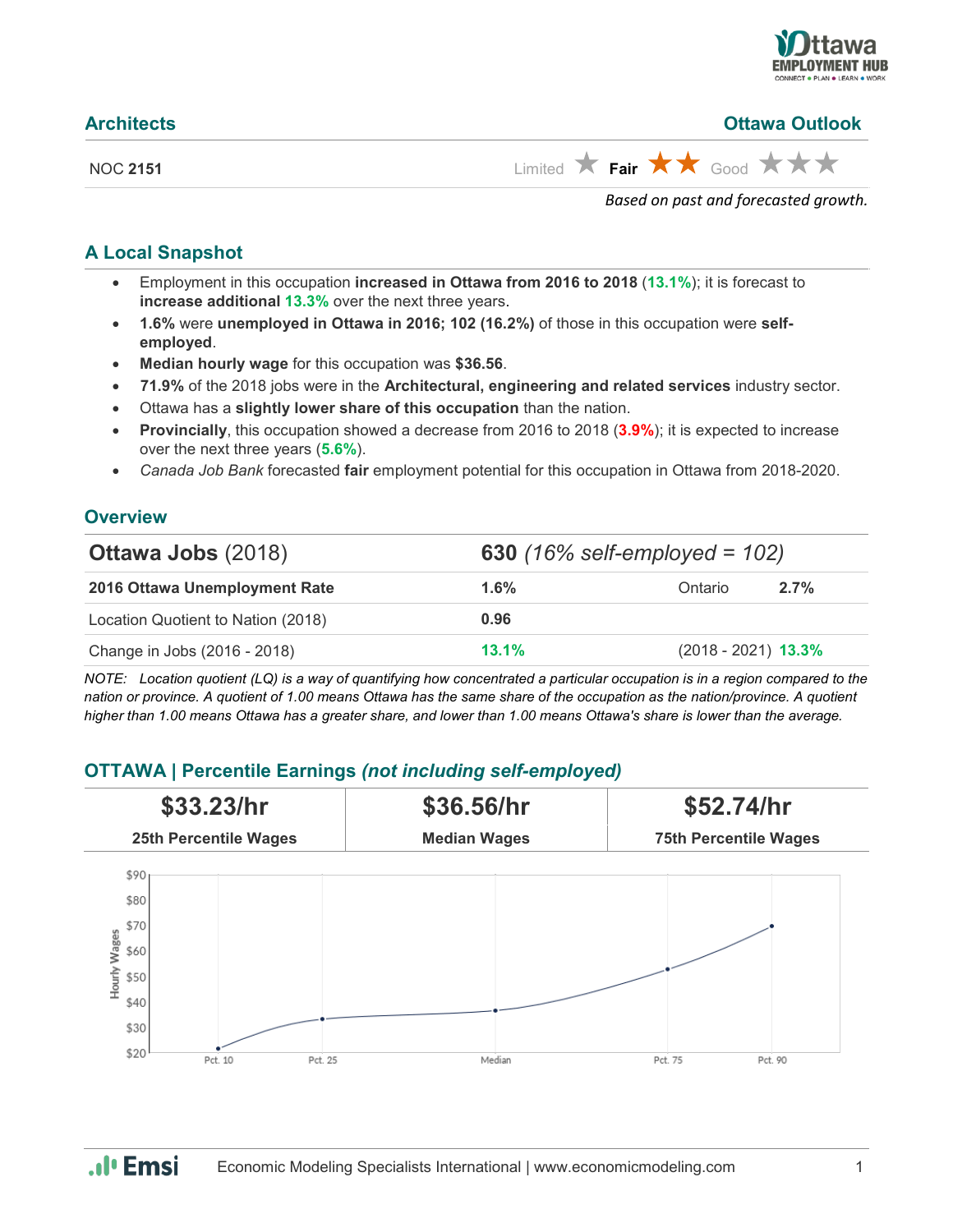

| <b>Architects</b> | <b>Ottawa Outlook</b>                                       |
|-------------------|-------------------------------------------------------------|
| NOC 2151          | Limited $\star$ Fair $\star \star$ Good $\star \star \star$ |
|                   | Based on past and forecasted growth.                        |

#### **A Local Snapshot**

- Employment in this occupation **increased in Ottawa from 2016 to 2018** (**13.1%**); it is forecast to **increase additional 13.3%** over the next three years.
- **1.6%** were **unemployed in Ottawa in 2016; 102 (16.2%)** of those in this occupation were **selfemployed**.
- **Median hourly wage** for this occupation was **\$36.56**.
- **71.9%** of the 2018 jobs were in the **Architectural, engineering and related services** industry sector.
- Ottawa has a **slightly lower share of this occupation** than the nation.
- **Provincially**, this occupation showed a decrease from 2016 to 2018 (**3.9%**); it is expected to increase over the next three years (**5.6%**).
- *Canada Job Bank* forecasted **fair** employment potential for this occupation in Ottawa from 2018-2020.

#### **Overview**

| <b>Ottawa Jobs (2018)</b>          | 630 $(16\% \text{ self-employeed} = 102)$ |                       |      |
|------------------------------------|-------------------------------------------|-----------------------|------|
| 2016 Ottawa Unemployment Rate      | 1.6%                                      | Ontario               | 2.7% |
| Location Quotient to Nation (2018) | 0.96                                      |                       |      |
| Change in Jobs (2016 - 2018)       | 13.1%                                     | $(2018 - 2021)$ 13.3% |      |

*NOTE: Location quotient (LQ) is a way of quantifying how concentrated a particular occupation is in a region compared to the nation or province. A quotient of 1.00 means Ottawa has the same share of the occupation as the nation/province. A quotient higher than 1.00 means Ottawa has a greater share, and lower than 1.00 means Ottawa's share is lower than the average.*

### **OTTAWA | Percentile Earnings** *(not including self-employed)*



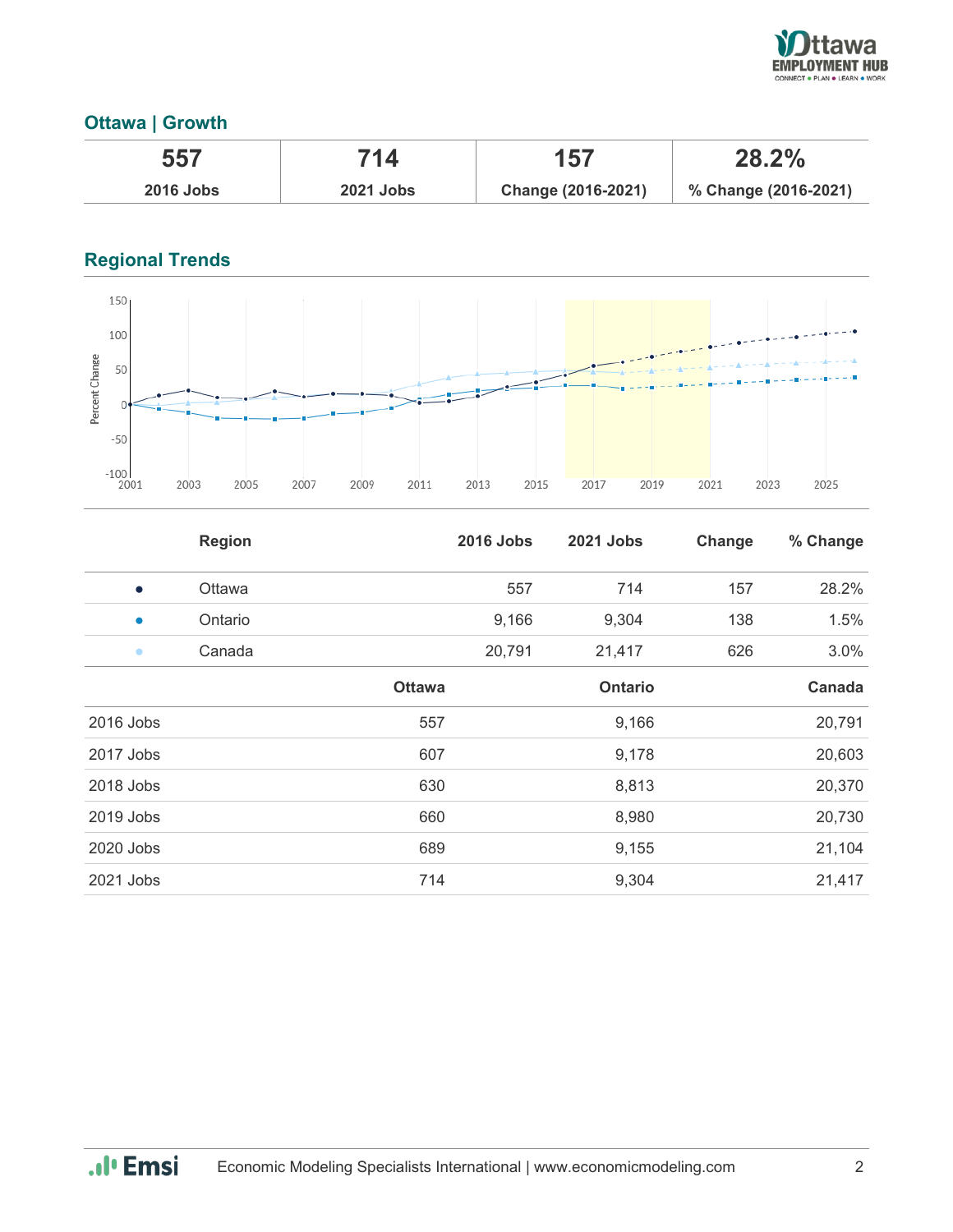

## **Ottawa | Growth**

| 557              | 714              | 157                | 28.2%                |
|------------------|------------------|--------------------|----------------------|
| <b>2016 Jobs</b> | <b>2021 Jobs</b> | Change (2016-2021) | % Change (2016-2021) |

## **Regional Trends**



|           | <b>Region</b> |               | <b>2016 Jobs</b> | 2021 Jobs      | Change | % Change |
|-----------|---------------|---------------|------------------|----------------|--------|----------|
| $\bullet$ | Ottawa        |               | 557              | 714            | 157    | 28.2%    |
| $\bullet$ | Ontario       |               | 9,166            | 9,304          | 138    | 1.5%     |
| $\bullet$ | Canada        |               | 20,791           | 21,417         | 626    | 3.0%     |
|           |               | <b>Ottawa</b> |                  | <b>Ontario</b> |        | Canada   |
| 2016 Jobs |               | 557           |                  | 9,166          |        | 20,791   |
| 2017 Jobs |               | 607           |                  | 9,178          |        | 20,603   |
| 2018 Jobs |               | 630           |                  | 8,813          |        | 20,370   |
| 2019 Jobs |               | 660           |                  | 8,980          |        | 20,730   |
| 2020 Jobs |               | 689           |                  | 9,155          |        | 21,104   |
| 2021 Jobs |               | 714           |                  | 9,304          |        | 21,417   |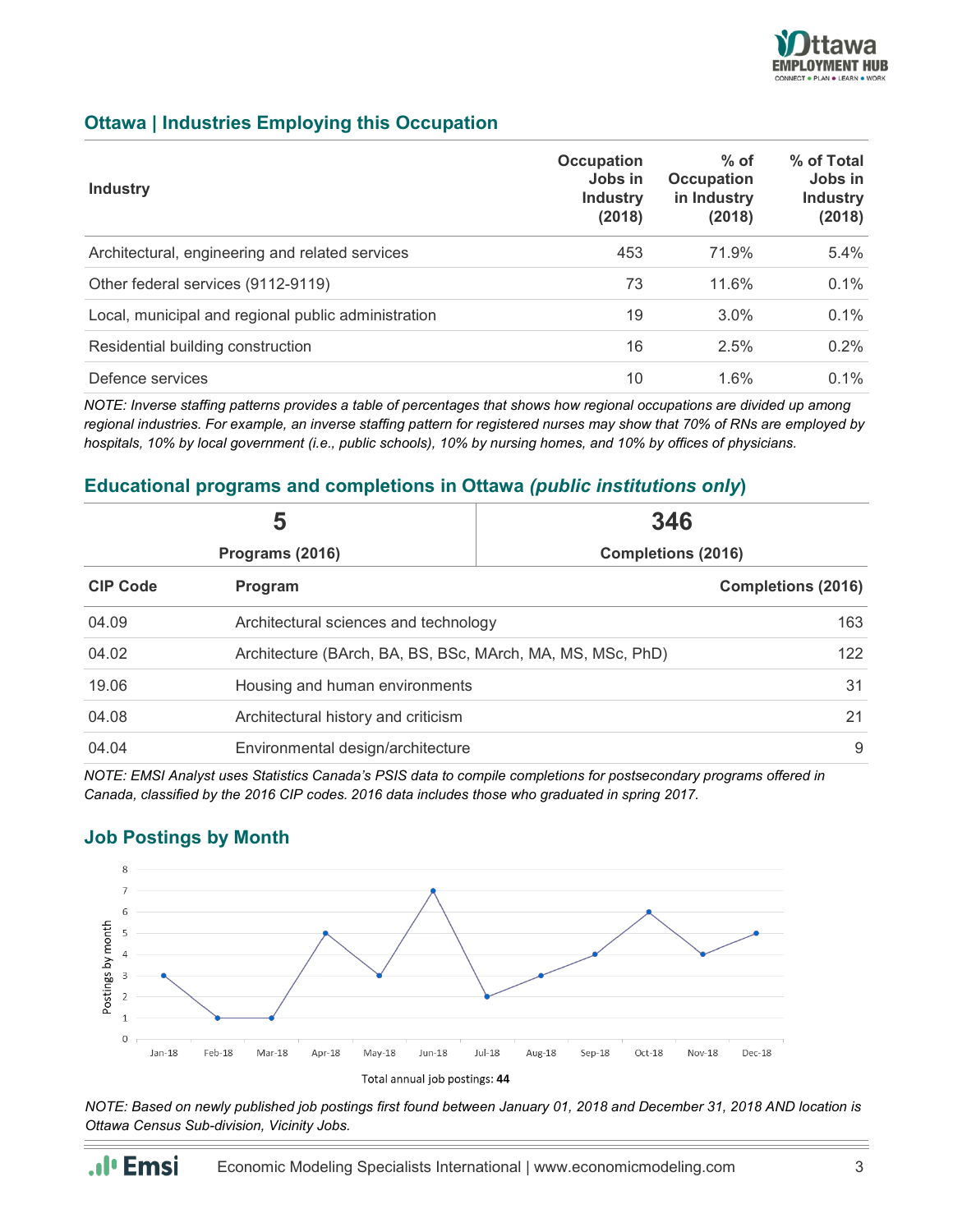

### **Ottawa | Industries Employing this Occupation**

| <b>Industry</b>                                     | <b>Occupation</b><br>Jobs in<br><b>Industry</b><br>(2018) | $%$ of<br><b>Occupation</b><br>in Industry<br>(2018) | % of Total<br>Jobs in<br><b>Industry</b><br>(2018) |
|-----------------------------------------------------|-----------------------------------------------------------|------------------------------------------------------|----------------------------------------------------|
| Architectural, engineering and related services     | 453                                                       | 71.9%                                                | 5.4%                                               |
| Other federal services (9112-9119)                  | 73                                                        | 11.6%                                                | 0.1%                                               |
| Local, municipal and regional public administration | 19                                                        | $3.0\%$                                              | 0.1%                                               |
| Residential building construction                   | 16                                                        | 2.5%                                                 | $0.2\%$                                            |
| Defence services                                    | 10                                                        | 1.6%                                                 | $0.1\%$                                            |

*NOTE: Inverse staffing patterns provides a table of percentages that shows how regional occupations are divided up among regional industries. For example, an inverse staffing pattern for registered nurses may show that 70% of RNs are employed by hospitals, 10% by local government (i.e., public schools), 10% by nursing homes, and 10% by offices of physicians.*

#### **Educational programs and completions in Ottawa** *(public institutions only***)**

| 5               |                                                            | 346                       |                           |
|-----------------|------------------------------------------------------------|---------------------------|---------------------------|
|                 | Programs (2016)                                            | <b>Completions (2016)</b> |                           |
| <b>CIP Code</b> | Program                                                    |                           | <b>Completions (2016)</b> |
| 04.09           | Architectural sciences and technology                      |                           | 163                       |
| 04.02           | Architecture (BArch, BA, BS, BSc, MArch, MA, MS, MSc, PhD) |                           | 122                       |
| 19.06           | Housing and human environments                             |                           | 31                        |
| 04.08           | Architectural history and criticism                        |                           | 21                        |
| 04.04           | Environmental design/architecture                          |                           | 9                         |

*NOTE: EMSI Analyst uses Statistics Canada's PSIS data to compile completions for postsecondary programs offered in Canada, classified by the 2016 CIP codes. 2016 data includes those who graduated in spring 2017.*

#### **Job Postings by Month**



*NOTE: Based on newly published job postings first found between January 01, 2018 and December 31, 2018 AND location is Ottawa Census Sub-division, Vicinity Jobs.*